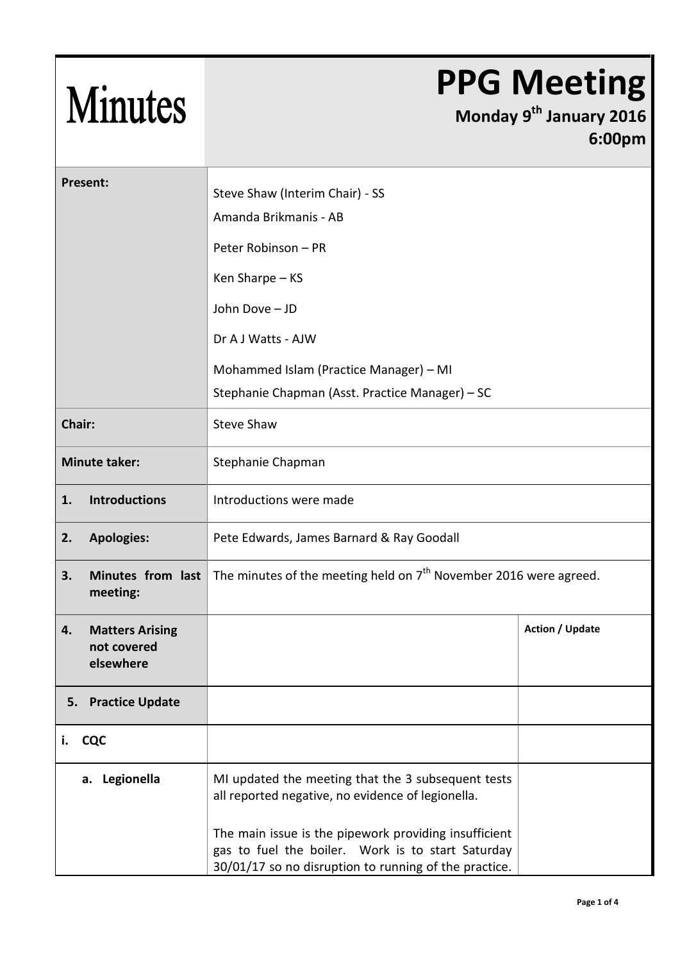## Minutes

## **PPG Meeting**

## **Monday 9 th January 2016 6:00pm**

| <b>Present:</b>                                          | Steve Shaw (Interim Chair) - SS<br>Amanda Brikmanis - AB                                                                                                         |                        |  |
|----------------------------------------------------------|------------------------------------------------------------------------------------------------------------------------------------------------------------------|------------------------|--|
|                                                          | Peter Robinson - PR                                                                                                                                              |                        |  |
|                                                          | Ken Sharpe - KS                                                                                                                                                  |                        |  |
|                                                          | John Dove - JD                                                                                                                                                   |                        |  |
|                                                          | Dr A J Watts - AJW                                                                                                                                               |                        |  |
|                                                          | Mohammed Islam (Practice Manager) - MI                                                                                                                           |                        |  |
|                                                          | Stephanie Chapman (Asst. Practice Manager) – SC                                                                                                                  |                        |  |
| Chair:                                                   | <b>Steve Shaw</b>                                                                                                                                                |                        |  |
| <b>Minute taker:</b>                                     | Stephanie Chapman                                                                                                                                                |                        |  |
| <b>Introductions</b><br>1.                               | Introductions were made                                                                                                                                          |                        |  |
| <b>Apologies:</b><br>2.                                  | Pete Edwards, James Barnard & Ray Goodall                                                                                                                        |                        |  |
| Minutes from last<br>3.<br>meeting:                      | The minutes of the meeting held on $7th$ November 2016 were agreed.                                                                                              |                        |  |
| <b>Matters Arising</b><br>4.<br>not covered<br>elsewhere |                                                                                                                                                                  | <b>Action / Update</b> |  |
| <b>Practice Update</b><br>5.                             |                                                                                                                                                                  |                        |  |
| <b>CQC</b><br>i.                                         |                                                                                                                                                                  |                        |  |
| a. Legionella                                            | MI updated the meeting that the 3 subsequent tests<br>all reported negative, no evidence of legionella.<br>The main issue is the pipework providing insufficient |                        |  |
|                                                          | gas to fuel the boiler. Work is to start Saturday<br>30/01/17 so no disruption to running of the practice.                                                       |                        |  |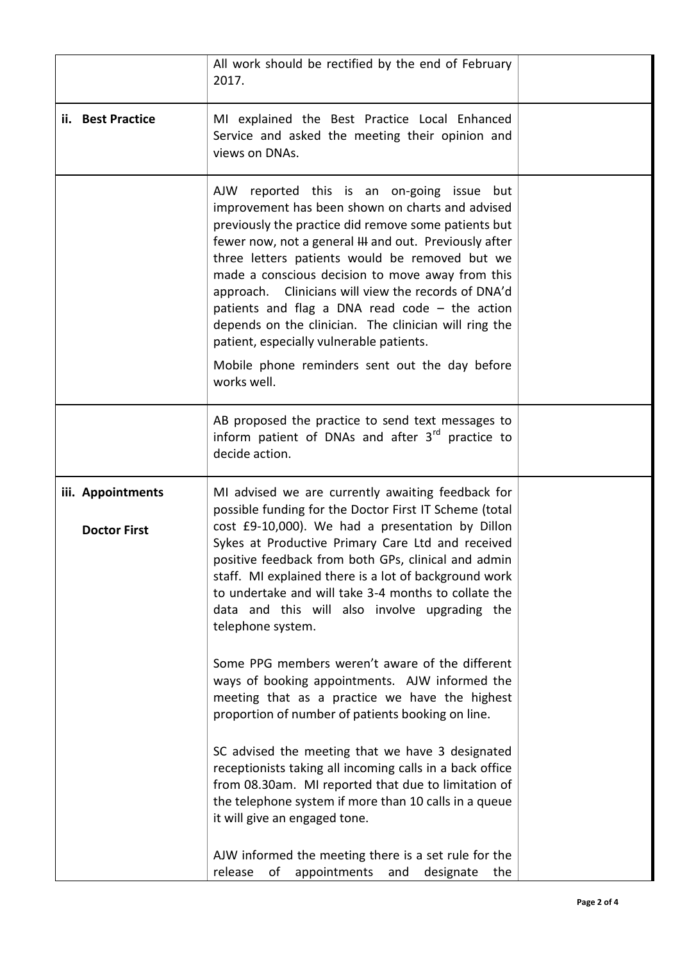|                                          | All work should be rectified by the end of February<br>2017.                                                                                                                                                                                                                                                                                                                                                                                                                                                                                                                                                                                                                                                                       |  |
|------------------------------------------|------------------------------------------------------------------------------------------------------------------------------------------------------------------------------------------------------------------------------------------------------------------------------------------------------------------------------------------------------------------------------------------------------------------------------------------------------------------------------------------------------------------------------------------------------------------------------------------------------------------------------------------------------------------------------------------------------------------------------------|--|
| ii. Best Practice                        | MI explained the Best Practice Local Enhanced<br>Service and asked the meeting their opinion and<br>views on DNAs.                                                                                                                                                                                                                                                                                                                                                                                                                                                                                                                                                                                                                 |  |
|                                          | AJW reported this is an on-going issue but<br>improvement has been shown on charts and advised<br>previously the practice did remove some patients but<br>fewer now, not a general ## and out. Previously after<br>three letters patients would be removed but we<br>made a conscious decision to move away from this<br>approach. Clinicians will view the records of DNA'd<br>patients and flag a DNA read code $-$ the action<br>depends on the clinician. The clinician will ring the<br>patient, especially vulnerable patients.                                                                                                                                                                                              |  |
|                                          | Mobile phone reminders sent out the day before<br>works well.                                                                                                                                                                                                                                                                                                                                                                                                                                                                                                                                                                                                                                                                      |  |
|                                          | AB proposed the practice to send text messages to<br>inform patient of DNAs and after 3rd practice to<br>decide action.                                                                                                                                                                                                                                                                                                                                                                                                                                                                                                                                                                                                            |  |
| iii. Appointments<br><b>Doctor First</b> | MI advised we are currently awaiting feedback for<br>possible funding for the Doctor First IT Scheme (total<br>cost £9-10,000). We had a presentation by Dillon<br>Sykes at Productive Primary Care Ltd and received<br>positive feedback from both GPs, clinical and admin<br>staff. MI explained there is a lot of background work<br>to undertake and will take 3-4 months to collate the<br>data and this will also involve upgrading the<br>telephone system.<br>Some PPG members weren't aware of the different<br>ways of booking appointments. AJW informed the<br>meeting that as a practice we have the highest<br>proportion of number of patients booking on line.<br>SC advised the meeting that we have 3 designated |  |
|                                          | receptionists taking all incoming calls in a back office<br>from 08.30am. MI reported that due to limitation of<br>the telephone system if more than 10 calls in a queue<br>it will give an engaged tone.<br>AJW informed the meeting there is a set rule for the<br>release<br>appointments<br>of<br>designate<br>the<br>and                                                                                                                                                                                                                                                                                                                                                                                                      |  |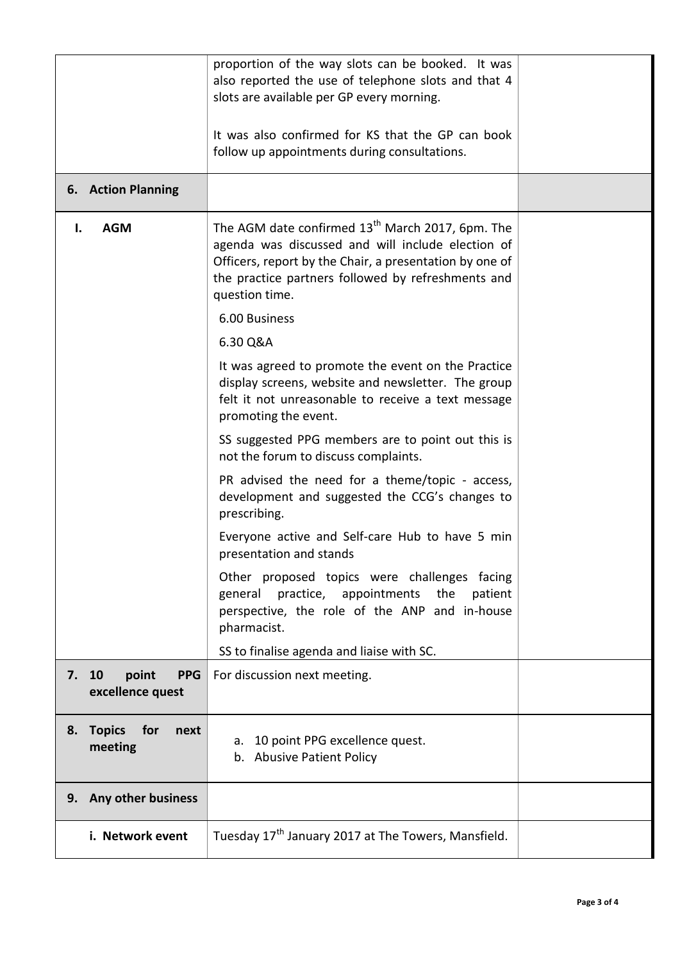|                                                     | proportion of the way slots can be booked. It was<br>also reported the use of telephone slots and that 4<br>slots are available per GP every morning.<br>It was also confirmed for KS that the GP can book<br>follow up appointments during consultations. |  |
|-----------------------------------------------------|------------------------------------------------------------------------------------------------------------------------------------------------------------------------------------------------------------------------------------------------------------|--|
| 6. Action Planning                                  |                                                                                                                                                                                                                                                            |  |
| <b>AGM</b><br>ı.                                    | The AGM date confirmed 13 <sup>th</sup> March 2017, 6pm. The<br>agenda was discussed and will include election of<br>Officers, report by the Chair, a presentation by one of<br>the practice partners followed by refreshments and<br>question time.       |  |
|                                                     | 6.00 Business<br>6.30 Q&A                                                                                                                                                                                                                                  |  |
|                                                     | It was agreed to promote the event on the Practice<br>display screens, website and newsletter. The group<br>felt it not unreasonable to receive a text message<br>promoting the event.                                                                     |  |
|                                                     | SS suggested PPG members are to point out this is<br>not the forum to discuss complaints.                                                                                                                                                                  |  |
|                                                     | PR advised the need for a theme/topic - access,<br>development and suggested the CCG's changes to<br>prescribing.                                                                                                                                          |  |
|                                                     | Everyone active and Self-care Hub to have 5 min<br>presentation and stands                                                                                                                                                                                 |  |
|                                                     | Other proposed topics were challenges facing<br>practice, appointments<br>general<br>the<br>patient<br>perspective, the role of the ANP and in-house<br>pharmacist.                                                                                        |  |
|                                                     | SS to finalise agenda and liaise with SC.                                                                                                                                                                                                                  |  |
| point<br>10<br><b>PPG</b><br>7.<br>excellence quest | For discussion next meeting.                                                                                                                                                                                                                               |  |
| <b>Topics</b><br>for<br>8.<br>next<br>meeting       | 10 point PPG excellence quest.<br>а.<br>b. Abusive Patient Policy                                                                                                                                                                                          |  |
| <b>Any other business</b><br>9.                     |                                                                                                                                                                                                                                                            |  |
| i. Network event                                    | Tuesday 17 <sup>th</sup> January 2017 at The Towers, Mansfield.                                                                                                                                                                                            |  |